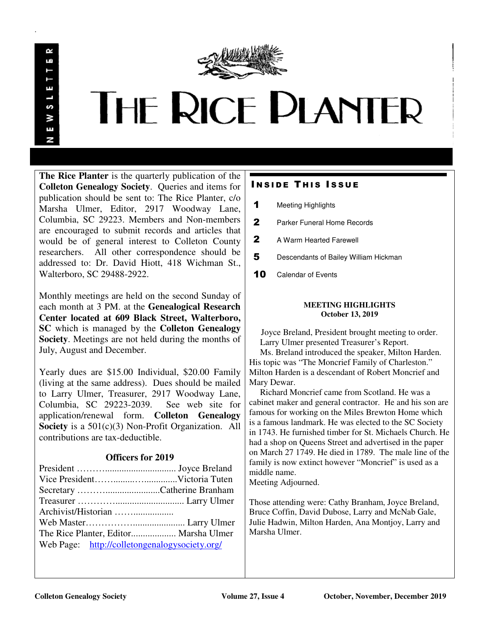

 $\sim$ 

.

# **THE RICE PLANTER**

**The Rice Planter** is the quarterly publication of the **Colleton Genealogy Society**. Queries and items for publication should be sent to: The Rice Planter, c/o Marsha Ulmer, Editor, 2917 Woodway Lane, Columbia, SC 29223. Members and Non-members are encouraged to submit records and articles that would be of general interest to Colleton County researchers. All other correspondence should be addressed to: Dr. David Hiott, 418 Wichman St., Walterboro, SC 29488-2922.

Monthly meetings are held on the second Sunday of each month at 3 PM. at the **Genealogical Research Center located at 609 Black Street, Walterboro, SC** which is managed by the **Colleton Genealogy Society**. Meetings are not held during the months of July, August and December.

Yearly dues are \$15.00 Individual, \$20.00 Family (living at the same address). Dues should be mailed to Larry Ulmer, Treasurer, 2917 Woodway Lane, Columbia, SC 29223-2039. See web site for application/renewal form. **Colleton Genealogy Society** is a 501(c)(3) Non-Profit Organization. All contributions are tax-deductible.

## **Officers for 2019**

| The Rice Planter, Editor Marsha Ulmer         |  |
|-----------------------------------------------|--|
| Web Page: http://colletongenalogysociety.org/ |  |
|                                               |  |

## **INSIDE THIS ISSUE**

- 1 Meeting Highlights
- 2 Parker Funeral Home Records
- 2 A Warm Hearted Farewell
- 5 Descendants of Bailey William Hickman
- 10 Calendar of Events

## **MEETING HIGHLIGHTS October 13, 2019**

 Joyce Breland, President brought meeting to order. Larry Ulmer presented Treasurer's Report.

 Ms. Breland introduced the speaker, Milton Harden. His topic was "The Moncrief Family of Charleston." Milton Harden is a descendant of Robert Moncrief and Mary Dewar.

 Richard Moncrief came from Scotland. He was a cabinet maker and general contractor. He and his son are famous for working on the Miles Brewton Home which is a famous landmark. He was elected to the SC Society in 1743. He furnished timber for St. Michaels Church. He had a shop on Queens Street and advertised in the paper on March 27 1749. He died in 1789. The male line of the family is now extinct however "Moncrief" is used as a middle name.

Meeting Adjourned.

Those attending were: Cathy Branham, Joyce Breland, Bruce Coffin, David Dubose, Larry and McNab Gale, Julie Hadwin, Milton Harden, Ana Montjoy, Larry and Marsha Ulmer.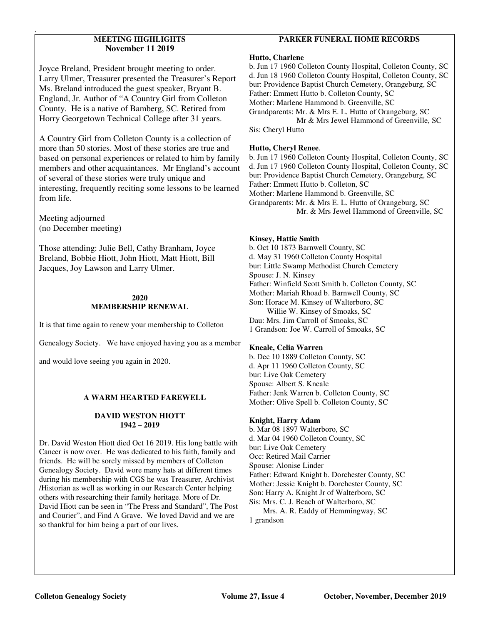## **MEETING HIGHLIGHTS November 11 2019**

Joyce Breland, President brought meeting to order. Larry Ulmer, Treasurer presented the Treasurer's Report Ms. Breland introduced the guest speaker, Bryant B. England, Jr. Author of "A Country Girl from Colleton County. He is a native of Bamberg, SC. Retired from Horry Georgetown Technical College after 31 years.

A Country Girl from Colleton County is a collection of more than 50 stories. Most of these stories are true and based on personal experiences or related to him by family members and other acquaintances. Mr England's account of several of these stories were truly unique and interesting, frequently reciting some lessons to be learned from life.

Meeting adjourned (no December meeting)

.

Those attending: Julie Bell, Cathy Branham, Joyce Breland, Bobbie Hiott, John Hiott, Matt Hiott, Bill Jacques, Joy Lawson and Larry Ulmer.

## **2020 MEMBERSHIP RENEWAL**

It is that time again to renew your membership to Colleton

Genealogy Society. We have enjoyed having you as a member

and would love seeing you again in 2020.

## **A WARM HEARTED FAREWELL**

## **DAVID WESTON HIOTT 1942 – 2019**

Dr. David Weston Hiott died Oct 16 2019. His long battle with Cancer is now over. He was dedicated to his faith, family and friends. He will be sorely missed by members of Colleton Genealogy Society. David wore many hats at different times during his membership with CGS he was Treasurer, Archivist /Historian as well as working in our Research Center helping others with researching their family heritage. More of Dr. David Hiott can be seen in "The Press and Standard", The Post and Courier", and Find A Grave. We loved David and we are so thankful for him being a part of our lives.

## **PARKER FUNERAL HOME RECORDS**

## **Hutto, Charlene**

b. Jun 17 1960 Colleton County Hospital, Colleton County, SC d. Jun 18 1960 Colleton County Hospital, Colleton County, SC bur: Providence Baptist Church Cemetery, Orangeburg, SC Father: Emmett Hutto b. Colleton County, SC Mother: Marlene Hammond b. Greenville, SC Grandparents: Mr. & Mrs E. L. Hutto of Orangeburg, SC Mr & Mrs Jewel Hammond of Greenville, SC Sis: Cheryl Hutto

# **Hutto, Cheryl Renee**.

b. Jun 17 1960 Colleton County Hospital, Colleton County, SC d. Jun 17 1960 Colleton County Hospital, Colleton County, SC bur: Providence Baptist Church Cemetery, Orangeburg, SC Father: Emmett Hutto b. Colleton, SC Mother: Marlene Hammond b. Greenville, SC Grandparents: Mr. & Mrs E. L. Hutto of Orangeburg, SC Mr. & Mrs Jewel Hammond of Greenville, SC

## **Kinsey, Hattie Smith**

b. Oct 10 1873 Barnwell County, SC d. May 31 1960 Colleton County Hospital bur: Little Swamp Methodist Church Cemetery Spouse: J. N. Kinsey Father: Winfield Scott Smith b. Colleton County, SC Mother: Mariah Rhoad b. Barnwell County, SC Son: Horace M. Kinsey of Walterboro, SC Willie W. Kinsey of Smoaks, SC Dau: Mrs. Jim Carroll of Smoaks, SC 1 Grandson: Joe W. Carroll of Smoaks, SC

## **Kneale, Celia Warren**

b. Dec 10 1889 Colleton County, SC d. Apr 11 1960 Colleton County, SC bur: Live Oak Cemetery Spouse: Albert S. Kneale Father: Jenk Warren b. Colleton County, SC Mother: Olive Spell b. Colleton County, SC

## **Knight, Harry Adam**

b. Mar 08 1897 Walterboro, SC d. Mar 04 1960 Colleton County, SC bur: Live Oak Cemetery Occ: Retired Mail Carrier Spouse: Alonise Linder Father: Edward Knight b. Dorchester County, SC Mother: Jessie Knight b. Dorchester County, SC Son: Harry A. Knight Jr of Walterboro, SC Sis: Mrs. C. J. Beach of Walterboro, SC

 Mrs. A. R. Eaddy of Hemmingway, SC 1 grandson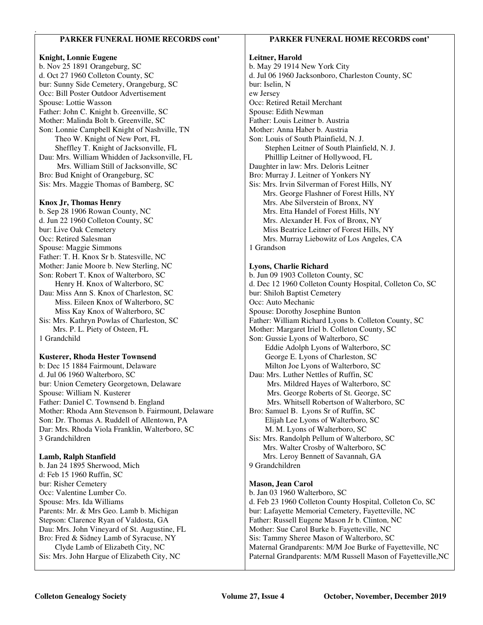## **PARKER FUNERAL HOME RECORDS cont'**

#### **Knight, Lonnie Eugene**

.

b. Nov 25 1891 Orangeburg, SC d. Oct 27 1960 Colleton County, SC bur: Sunny Side Cemetery, Orangeburg, SC Occ: Bill Poster Outdoor Advertisement Spouse: Lottie Wasson Father: John C. Knight b. Greenville, SC Mother: Malinda Bolt b. Greenville, SC Son: Lonnie Campbell Knight of Nashville, TN Theo W. Knight of New Port, FL Sheffley T. Knight of Jacksonville, FL Dau: Mrs. William Whidden of Jacksonville, FL Mrs. William Still of Jacksonville, SC Bro: Bud Knight of Orangeburg, SC Sis: Mrs. Maggie Thomas of Bamberg, SC

#### **Knox Jr, Thomas Henry**

b. Sep 28 1906 Rowan County, NC d. Jun 22 1960 Colleton County, SC bur: Live Oak Cemetery Occ: Retired Salesman Spouse: Maggie Simmons Father: T. H. Knox Sr b. Statesville, NC Mother: Janie Moore b. New Sterling, NC Son: Robert T. Knox of Walterboro, SC Henry H. Knox of Walterboro, SC Dau: Miss Ann S. Knox of Charleston, SC Miss. Eileen Knox of Walterboro, SC Miss Kay Knox of Walterboro, SC Sis: Mrs. Kathryn Powlas of Charleston, SC Mrs. P. L. Piety of Osteen, FL 1 Grandchild

#### **Kusterer, Rhoda Hester Townsend**

b: Dec 15 1884 Fairmount, Delaware d. Jul 06 1960 Walterboro, SC bur: Union Cemetery Georgetown, Delaware Spouse: William N. Kusterer Father: Daniel C. Townsend b. England Mother: Rhoda Ann Stevenson b. Fairmount, Delaware Son: Dr. Thomas A. Ruddell of Allentown, PA Dar: Mrs. Rhoda Viola Franklin, Walterboro, SC 3 Grandchildren

#### **Lamb, Ralph Stanfield**

b. Jan 24 1895 Sherwood, Mich d: Feb 15 1960 Ruffin, SC bur: Risher Cemetery Occ: Valentine Lumber Co. Spouse: Mrs. Ida Williams Parents: Mr. & Mrs Geo. Lamb b. Michigan Stepson: Clarence Ryan of Valdosta, GA Dau: Mrs. John Vineyard of St. Augustine, FL Bro: Fred & Sidney Lamb of Syracuse, NY Clyde Lamb of Elizabeth City, NC Sis: Mrs. John Hargue of Elizabeth City, NC

#### **PARKER FUNERAL HOME RECORDS cont'**

#### **Leitner, Harold**

b. May 29 1914 New York City d. Jul 06 1960 Jacksonboro, Charleston County, SC bur: Iselin, N ew Jersey Occ: Retired Retail Merchant Spouse: Edith Newman Father: Louis Leitner b. Austria Mother: Anna Haber b. Austria Son: Louis of South Plainfield, N. J. Stephen Leitner of South Plainfield, N. J. Philllip Leitner of Hollywood, FL Daughter in law: Mrs. Deloris Leitner Bro: Murray J. Leitner of Yonkers NY Sis: Mrs. Irvin Silverman of Forest Hills, NY Mrs. George Flashner of Forest Hills, NY Mrs. Abe Silverstein of Bronx, NY Mrs. Etta Handel of Forest Hills, NY Mrs. Alexander H. Fox of Bronx, NY Miss Beatrice Leitner of Forest Hills, NY Mrs. Murray Liebowitz of Los Angeles, CA 1 Grandson

#### **Lyons, Charlie Richard**

b. Jun 09 1903 Colleton County, SC d. Dec 12 1960 Colleton County Hospital, Colleton Co, SC bur: Shiloh Baptist Cemetery Occ: Auto Mechanic Spouse: Dorothy Josephine Bunton Father: William Richard Lyons b. Colleton County, SC Mother: Margaret Iriel b. Colleton County, SC Son: Gussie Lyons of Walterboro, SC Eddie Adolph Lyons of Walterboro, SC George E. Lyons of Charleston, SC Milton Joe Lyons of Walterboro, SC Dau: Mrs. Luther Nettles of Ruffin, SC Mrs. Mildred Hayes of Walterboro, SC Mrs. George Roberts of St. George, SC Mrs. Whitsell Robertson of Walterboro, SC Bro: Samuel B. Lyons Sr of Ruffin, SC Elijah Lee Lyons of Walterboro, SC M. M. Lyons of Walterboro, SC Sis: Mrs. Randolph Pellum of Walterboro, SC Mrs. Walter Crosby of Walterboro, SC Mrs. Leroy Bennett of Savannah, GA 9 Grandchildren

#### **Mason, Jean Carol**

b. Jan 03 1960 Walterboro, SC d. Feb 23 1960 Colleton County Hospital, Colleton Co, SC bur: Lafayette Memorial Cemetery, Fayetteville, NC Father: Russell Eugene Mason Jr b. Clinton, NC Mother: Sue Carol Burke b. Fayetteville, NC Sis: Tammy Sheree Mason of Walterboro, SC Maternal Grandparents: M/M Joe Burke of Fayetteville, NC Paternal Grandparents: M/M Russell Mason of Fayetteville,NC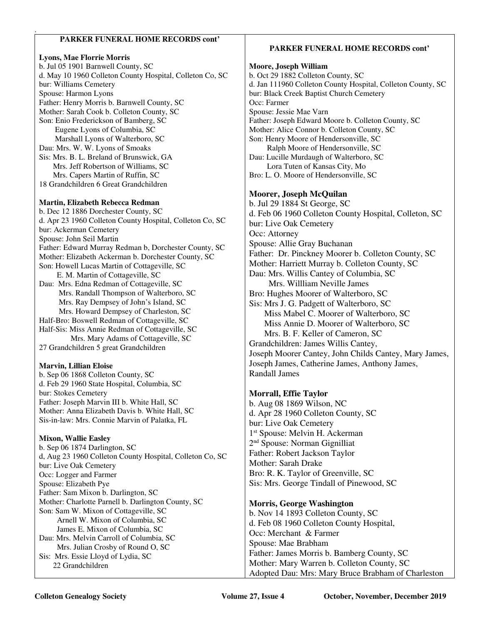## **PARKER FUNERAL HOME RECORDS cont'**

## **Lyons, Mae Florrie Morris**

.

b. Jul 05 1901 Barnwell County, SC d. May 10 1960 Colleton County Hospital, Colleton Co, SC bur: Williams Cemetery Spouse: Harmon Lyons Father: Henry Morris b. Barnwell County, SC Mother: Sarah Cook b. Colleton County, SC Son: Enio Frederickson of Bamberg, SC Eugene Lyons of Columbia, SC Marshall Lyons of Walterboro, SC Dau: Mrs. W. W. Lyons of Smoaks Sis: Mrs. B. L. Breland of Brunswick, GA Mrs. Jeff Robertson of Williams, SC Mrs. Capers Martin of Ruffin, SC 18 Grandchildren 6 Great Grandchildren

#### **Martin, Elizabeth Rebecca Redman**

b. Dec 12 1886 Dorchester County, SC d. Apr 23 1960 Colleton County Hospital, Colleton Co, SC bur: Ackerman Cemetery Spouse: John Seil Martin Father: Edward Murray Redman b, Dorchester County, SC Mother: Elizabeth Ackerman b. Dorchester County, SC Son: Howell Lucas Martin of Cottageville, SC E. M. Martin of Cottageville, SC Dau: Mrs. Edna Redman of Cottageville, SC Mrs. Randall Thompson of Walterboro, SC Mrs. Ray Dempsey of John's Island, SC Mrs. Howard Dempsey of Charleston, SC Half-Bro: Boswell Redman of Cottageville, SC

Half-Sis: Miss Annie Redman of Cottageville, SC Mrs. Mary Adams of Cottageville, SC 27 Grandchildren 5 great Grandchildren

## **Marvin, Lillian Eloise**

b. Sep 06 1868 Colleton County, SC d. Feb 29 1960 State Hospital, Columbia, SC bur: Stokes Cemetery Father: Joseph Marvin III b. White Hall, SC Mother: Anna Elizabeth Davis b. White Hall, SC Sis-in-law: Mrs. Connie Marvin of Palatka, FL

## **Mixon, Wallie Easley**

b. Sep 06 1874 Darlington, SC d, Aug 23 1960 Colleton County Hospital, Colleton Co, SC bur: Live Oak Cemetery Occ: Logger and Farmer Spouse: Elizabeth Pye Father: Sam Mixon b. Darlington, SC Mother: Charlotte Parnell b. Darlington County, SC Son: Sam W. Mixon of Cottageville, SC Arnell W. Mixon of Columbia, SC James E. Mixon of Columbia, SC Dau: Mrs. Melvin Carroll of Columbia, SC Mrs. Julian Crosby of Round O, SC Sis: Mrs. Essie Lloyd of Lydia, SC 22 Grandchildren

## **PARKER FUNERAL HOME RECORDS cont'**

# **Moore, Joseph William**

b. Oct 29 1882 Colleton County, SC d. Jan 111960 Colleton County Hospital, Colleton County, SC bur: Black Creek Baptist Church Cemetery Occ: Farmer Spouse: Jessie Mae Varn Father: Joseph Edward Moore b. Colleton County, SC Mother: Alice Connor b. Colleton County, SC Son: Henry Moore of Hendersonville, SC Ralph Moore of Hendersonville, SC Dau: Lucille Murdaugh of Walterboro, SC Lora Tuten of Kansas City, Mo Bro: L. O. Moore of Hendersonville, SC **Moorer, Joseph McQuilan** 

b. Jul 29 1884 St George, SC d. Feb 06 1960 Colleton County Hospital, Colleton, SC bur: Live Oak Cemetery Occ: Attorney Spouse: Allie Gray Buchanan Father: Dr. Pinckney Moorer b. Colleton County, SC Mother: Harriett Murray b. Colleton County, SC Dau: Mrs. Willis Cantey of Columbia, SC Mrs. Willliam Neville James Bro: Hughes Moorer of Walterboro, SC Sis: Mrs J. G. Padgett of Walterboro, SC Miss Mabel C. Moorer of Walterboro, SC Miss Annie D. Moorer of Walterboro, SC Mrs. B. F. Keller of Cameron, SC Grandchildren: James Willis Cantey, Joseph Moorer Cantey, John Childs Cantey, Mary James, Joseph James, Catherine James, Anthony James, Randall James

## **Morrall, Effie Taylor**

b. Aug 08 1869 Wilson, NC d. Apr 28 1960 Colleton County, SC bur: Live Oak Cemetery 1 st Spouse: Melvin H. Ackerman 2<sup>nd</sup> Spouse: Norman Gignilliat Father: Robert Jackson Taylor Mother: Sarah Drake Bro: R. K. Taylor of Greenville, SC Sis: Mrs. George Tindall of Pinewood, SC

## **Morris, George Washington**

b. Nov 14 1893 Colleton County, SC d. Feb 08 1960 Colleton County Hospital, Occ: Merchant & Farmer Spouse: Mae Brabham Father: James Morris b. Bamberg County, SC Mother: Mary Warren b. Colleton County, SC Adopted Dau: Mrs: Mary Bruce Brabham of Charleston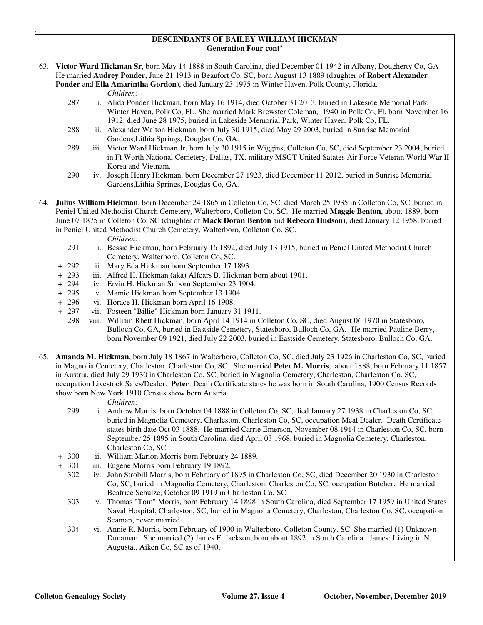#### **DESCENDANTS OF BAILEY WILLIAM HICKMAN Generation Four cont'**

63. **Victor Ward Hickman Sr**, born May 14 1888 in South Carolina, died December 01 1942 in Albany, Dougherty Co, GA He married **Audrey Ponder**, June 21 1913 in Beaufort Co, SC, born August 13 1889 (daughter of **Robert Alexander Ponder** and **Ella Amarintha Gordon**), died January 23 1975 in Winter Haven, Polk County, Florida.

*Children:*

.

- 287 i. Alida Ponder Hickman, born May 16 1914, died October 31 2013, buried in Lakeside Memorial Park, Winter Haven, Polk Co, FL. She married Mark Brewster Coleman, 1940 in Polk Co, Fl, born November 16 1912, died June 28 1975, buried in Lakeside Memorial Park, Winter Haven, Polk Co, FL.
- 288 ii. Alexander Walton Hickman, born July 30 1915, died May 29 2003, buried in Sunrise Memorial Gardens,Lithia Springs, Douglas Co, GA.
- 289 iii. Victor Ward Hickman Jr, born July 30 1915 in Wiggins, Colleton Co, SC, died September 23 2004, buried in Ft Worth National Cemetery, Dallas, TX, military MSGT United Satates Air Force Veteran World War II Korea and Vietnam.
- 290 iv. Joseph Henry Hickman, born December 27 1923, died December 11 2012, buried in Sunrise Memorial Gardens,Lithia Springs, Douglas Co, GA.
- 64. **Julius William Hickman**, born December 24 1865 in Colleton Co, SC, died March 25 1935 in Colleton Co, SC, buried in Peniel United Methodist Church Cemetery, Walterboro, Colleton Co, SC. He married **Maggie Benton**, about 1889, born June 07 1875 in Colleton Co, SC (daughter of **Mack Doran Benton** and **Rebecca Hudson**), died January 12 1958, buried in Peniel United Methodist Church Cemetery, Walterboro, Colleton Co, SC.

*Children:*

- 291 i. Bessie Hickman, born February 16 1892, died July 13 1915, buried in Peniel United Methodist Church Cemetery, Walterboro, Colleton Co, SC.
- + 292 ii. Mary Eda Hickman born September 17 1893.
- + 293 iii. Alfred H. Hickman (aka) Alfears B. Hickman born about 1901.
- + 294 iv. Ervin H. Hickman Sr born September 23 1904.
- + 295 v. Mamie Hickman born September 13 1904.
- + 296 vi. Horace H. Hickman born April 16 1908.
- + 297 vii. Fosteen "Billie" Hickman born January 31 1911.
- 298 viii. William Rhett Hickman, born April 14 1914 in Colleton Co, SC, died August 06 1970 in Statesboro, Bulloch Co, GA, buried in Eastside Cemetery, Statesboro, Bulloch Co, GA. He married Pauline Berry, born November 09 1921, died July 22 2003, buried in Eastside Cemetery, Statesboro, Bulloch Co, GA.
- 65. **Amanda M. Hickman**, born July 18 1867 in Walterboro, Colleton Co, SC, died July 23 1926 in Charleston Co, SC, buried in Magnolia Cemetery, Charleston, Charleston Co, SC. She married **Peter M. Morris**, about 1888, born February 11 1857 in Austria, died July 29 1930 in Charleston Co, SC, buried in Magnolia Cemetery, Charleston, Charleston Co, SC, occupation Livestock Sales/Dealer. **Peter**: Death Certificate states he was born in South Carolina, 1900 Census Records show born New York 1910 Census show born Austria.

- 299 i. Andrew Morris, born October 04 1888 in Colleton Co, SC, died January 27 1938 in Charleston Co, SC, buried in Magnolia Cemetery, Charleston, Charleston Co, SC, occupation Meat Dealer. Death Certificate states birth date Oct 03 1888. He married Carrie Emerson, November 08 1914 in Charleston Co, SC, born September 25 1895 in South Carolina, died April 03 1968, buried in Magnolia Cemetery, Charleston, Charleston Co, SC.
- + 300 ii. William Marion Morris born February 24 1889.
- + 301 iii. Eugene Morris born February 19 1892.
	- 302 iv. John Strobill Morris, born February of 1895 in Charleston Co, SC, died December 20 1930 in Charleston Co, SC, buried in Magnolia Cemetery, Charleston, Charleston Co, SC, occupation Butcher. He married Beatrice Schulze, October 09 1919 in Charleston Co, SC
	- 303 v. Thomas "Tom" Morris, born February 14 1898 in South Carolina, died September 17 1959 in United States Naval Hospital, Charleston, SC, buried in Magnolia Cemetery, Charleston, Charleston Co, SC, occupation Seaman, never married.
	- 304 vi. Annie R. Morris, born February of 1900 in Walterboro, Colleton County, SC. She married (1) Unknown Dunaman. She married (2) James E. Jackson, born about 1892 in South Carolina. James: Living in N. Augusta,, Aiken Co, SC as of 1940.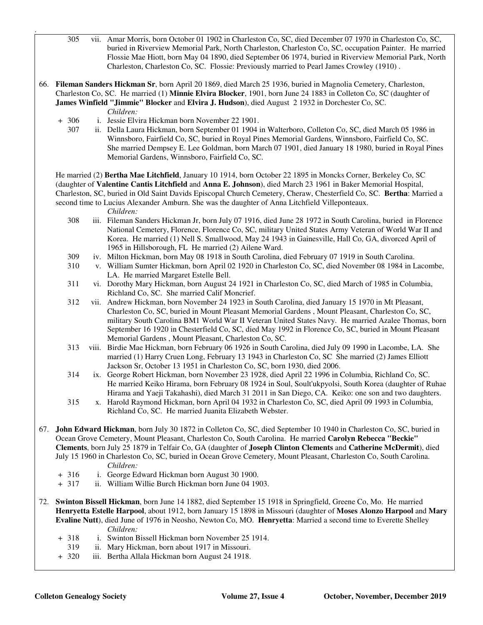- 305 vii. Amar Morris, born October 01 1902 in Charleston Co, SC, died December 07 1970 in Charleston Co, SC, buried in Riverview Memorial Park, North Charleston, Charleston Co, SC, occupation Painter. He married Flossie Mae Hiott, born May 04 1890, died September 06 1974, buried in Riverview Memorial Park, North Charleston, Charleston Co, SC. Flossie: Previously married to Pearl James Crowley (1910) .
- 66. **Fileman Sanders Hickman Sr**, born April 20 1869, died March 25 1936, buried in Magnolia Cemetery, Charleston, Charleston Co, SC. He married (1) **Minnie Elvira Blocker**, 1901, born June 24 1883 in Colleton Co, SC (daughter of **James Winfield "Jimmie" Blocker** and **Elvira J. Hudson**), died August 2 1932 in Dorchester Co, SC. *Children:*
	- + 306 i. Jessie Elvira Hickman born November 22 1901.
		- 307 ii. Della Laura Hickman, born September 01 1904 in Walterboro, Colleton Co, SC, died March 05 1986 in Winnsboro, Fairfield Co, SC, buried in Royal Pines Memorial Gardens, Winnsboro, Fairfield Co, SC. She married Dempsey E. Lee Goldman, born March 07 1901, died January 18 1980, buried in Royal Pines Memorial Gardens, Winnsboro, Fairfield Co, SC.

 He married (2) **Bertha Mae Litchfield**, January 10 1914, born October 22 1895 in Moncks Corner, Berkeley Co, SC (daughter of **Valentine Cantis Litchfield** and **Anna E. Johnson**), died March 23 1961 in Baker Memorial Hospital, Charleston, SC, buried in Old Saint Davids Episcopal Church Cemetery, Cheraw, Chesterfield Co, SC. **Bertha**: Married a second time to Lucius Alexander Amburn. She was the daughter of Anna Litchfield Villeponteaux.

*Children:*

.

- 308 iii. Fileman Sanders Hickman Jr, born July 07 1916, died June 28 1972 in South Carolina, buried in Florence National Cemetery, Florence, Florence Co, SC, military United States Army Veteran of World War II and Korea. He married (1) Nell S. Smallwood, May 24 1943 in Gainesville, Hall Co, GA, divorced April of 1965 in Hillsborough, FL He married (2) Ailene Ward.
- 309 iv. Milton Hickman, born May 08 1918 in South Carolina, died February 07 1919 in South Carolina.
- 310 v. William Sumter Hickman, born April 02 1920 in Charleston Co, SC, died November 08 1984 in Lacombe, LA. He married Margaret Estelle Bell.
- 311 vi. Dorothy Mary Hickman, born August 24 1921 in Charleston Co, SC, died March of 1985 in Columbia, Richland Co, SC. She married Calif Moncrief.
- 312 vii. Andrew Hickman, born November 24 1923 in South Carolina, died January 15 1970 in Mt Pleasant, Charleston Co, SC, buried in Mount Pleasant Memorial Gardens , Mount Pleasant, Charleston Co, SC, military South Carolina BM1 World War II Veteran United States Navy. He married Azalee Thomas, born September 16 1920 in Chesterfield Co, SC, died May 1992 in Florence Co, SC, buried in Mount Pleasant Memorial Gardens , Mount Pleasant, Charleston Co, SC.
- 313 viii. Birdie Mae Hickman, born February 06 1926 in South Carolina, died July 09 1990 in Lacombe, LA. She married (1) Harry Cruen Long, February 13 1943 in Charleston Co, SC She married (2) James Elliott Jackson Sr, October 13 1951 in Charleston Co, SC, born 1930, died 2006.
- 314 ix. George Robert Hickman, born November 23 1928, died April 22 1996 in Columbia, Richland Co, SC. He married Keiko Hirama, born February 08 1924 in Soul, Soult'ukpyolsi, South Korea (daughter of Ruhae Hirama and Yaeji Takahashi), died March 31 2011 in San Diego, CA. Keiko: one son and two daughters.
- 315 x. Harold Raymond Hickman, born April 04 1932 in Charleston Co, SC, died April 09 1993 in Columbia, Richland Co, SC. He married Juanita Elizabeth Webster.
- 67. **John Edward Hickman**, born July 30 1872 in Colleton Co, SC, died September 10 1940 in Charleston Co, SC, buried in Ocean Grove Cemetery, Mount Pleasant, Charleston Co, South Carolina. He married **Carolyn Rebecca "Beckie" Clements**, born July 25 1879 in Telfair Co, GA (daughter of **Joseph Clinton Clements** and **Catherine McDermit**), died July 15 1960 in Charleston Co, SC, buried in Ocean Grove Cemetery, Mount Pleasant, Charleston Co, South Carolina. *Children:*
	- + 316 i. George Edward Hickman born August 30 1900.
	- + 317 ii. William Willie Burch Hickman born June 04 1903.
- 72. **Swinton Bissell Hickman**, born June 14 1882, died September 15 1918 in Springfield, Greene Co, Mo. He married **Henryetta Estelle Harpool**, about 1912, born January 15 1898 in Missouri (daughter of **Moses Alonzo Harpool** and **Mary Evaline Nutt**), died June of 1976 in Neosho, Newton Co, MO. **Henryetta**: Married a second time to Everette Shelley *Children:*
	- + 318 i. Swinton Bissell Hickman born November 25 1914.
	- 319 ii. Mary Hickman, born about 1917 in Missouri.
	- + 320 iii. Bertha Allala Hickman born August 24 1918.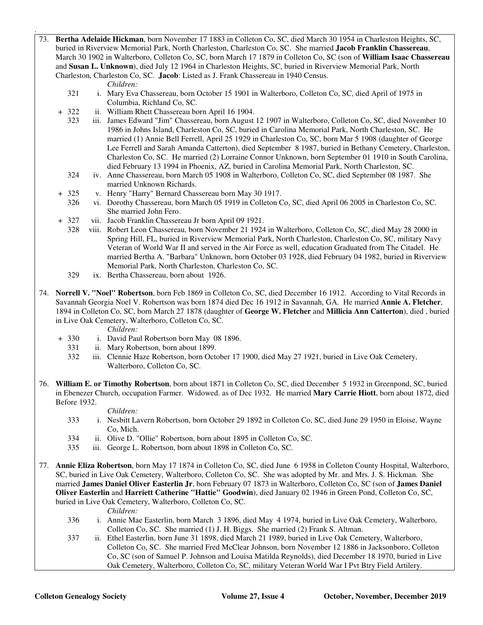73. **Bertha Adelaide Hickman**, born November 17 1883 in Colleton Co, SC, died March 30 1954 in Charleston Heights, SC, buried in Riverview Memorial Park, North Charleston, Charleston Co, SC. She married **Jacob Franklin Chassereau**, March 30 1902 in Walterboro, Colleton Co, SC, born March 17 1879 in Colleton Co, SC (son of **William Isaac Chassereau** and **Susan L. Unknown**), died July 12 1964 in Charleston Heights, SC, buried in Riverview Memorial Park, North Charleston, Charleston Co, SC. **Jacob**: Listed as J. Frank Chassereau in 1940 Census.

*Children:*

.

- 321 i. Mary Eva Chassereau, born October 15 1901 in Walterboro, Colleton Co, SC, died April of 1975 in Columbia, Richland Co, SC.
- + 322 ii. William Rhett Chassereau born April 16 1904.
	- 323 iii. James Edward "Jim" Chassereau, born August 12 1907 in Walterboro, Colleton Co, SC, died November 10 1986 in Johns Island, Charleston Co, SC, buried in Carolina Memorial Park, North Charleston, SC. He married (1) Annie Bell Ferrell, April 25 1929 in Charleston Co, SC, born Mar 5 1908 (daughter of George Lee Ferrell and Sarah Amanda Catterton), died September 8 1987, buried in Bethany Cemetery, Charleston, Charleston Co, SC. He married (2) Lorraine Connor Unknown, born September 01 1910 in South Carolina, died February 13 1994 in Phoenix, AZ, buried in Carolina Memorial Park, North Charleston, SC.
	- 324 iv. Anne Chassereau, born March 05 1908 in Walterboro, Colleton Co, SC, died September 08 1987. She married Unknown Richards.
- + 325 v. Henry "Harry" Bernard Chassereau born May 30 1917.
	- 326 vi. Dorothy Chassereau, born March 05 1919 in Colleton Co, SC, died April 06 2005 in Charleston Co, SC. She married John Fero.
- + 327 vii. Jacob Franklin Chassereau Jr born April 09 1921.
	- 328 viii. Robert Leon Chassereau, born November 21 1924 in Walterboro, Colleton Co, SC, died May 28 2000 in Spring Hill, FL, buried in Riverview Memorial Park, North Charleston, Charleston Co, SC, military Navy Veteran of World War II and served in the Air Force as well, education Graduated from The Citadel. He married Bertha A. "Barbara" Unknown, born October 03 1928, died February 04 1982, buried in Riverview Memorial Park, North Charleston, Charleston Co, SC.
	- 329 ix. Bertha Chassereau, born about 1926.
- 74. **Norrell V. "Noel" Robertson**, born Feb 1869 in Colleton Co, SC, died December 16 1912. According to Vital Records in Savannah Georgia Noel V. Robertson was born 1874 died Dec 16 1912 in Savannah, GA. He married **Annie A. Fletcher**, 1894 in Colleton Co, SC, born March 27 1878 (daughter of **George W. Fletcher** and **Millicia Ann Catterton**), died , buried in Live Oak Cemetery, Walterboro, Colleton Co, SC.

- *Children:*<br>+ 330 i. David Pau i. David Paul Robertson born May 08 1896.
	- 331 ii. Mary Robertson, born about 1899.
	- 332 iii. Clennie Haze Robertson, born October 17 1900, died May 27 1921, buried in Live Oak Cemetery, Walterboro, Colleton Co, SC.
- 76. **William E. or Timothy Robertson**, born about 1871 in Colleton Co, SC, died December 5 1932 in Greenpond, SC, buried in Ebenezer Church, occupation Farmer. Widowed. as of Dec 1932. He married **Mary Carrie Hiott**, born about 1872, died Before 1932.

#### *Children:*

- 333 i. Nesbitt Lavern Robertson, born October 29 1892 in Colleton Co, SC, died June 29 1950 in Eloise, Wayne Co, Mich.
- 334 ii. Olive D. "Ollie" Robertson, born about 1895 in Colleton Co, SC.
- 335 iii. George L. Robertson, born about 1898 in Colleton Co, SC.
- 77. **Annie Eliza Robertson**, born May 17 1874 in Colleton Co, SC, died June 6 1958 in Colleton County Hospital, Walterboro, SC, buried in Live Oak Cemetery, Walterboro, Colleton Co, SC. She was adopted by Mr. and Mrs. J. S. Hickman. She married **James Daniel Oliver Easterlin Jr**, born February 07 1873 in Walterboro, Colleton Co, SC (son of **James Daniel Oliver Easterlin** and **Harriett Catherine "Hattie" Goodwin**), died January 02 1946 in Green Pond, Colleton Co, SC, buried in Live Oak Cemetery, Walterboro, Colleton Co, SC.

- 336 i. Annie Mae Easterlin, born March 3 1896, died May 4 1974, buried in Live Oak Cemetery, Walterboro, Colleton Co, SC. She married (1) J. H. Biggs. She married (2) Frank S. Altman.
- 337 ii. Ethel Easterlin, born June 31 1898, died March 21 1989, buried in Live Oak Cemetery, Walterboro, Colleton Co, SC. She married Fred McClear Johnson, born November 12 1886 in Jacksonboro, Colleton Co, SC (son of Samuel P. Johnson and Louisa Matilda Reynolds), died December 18 1970, buried in Live Oak Cemetery, Walterboro, Colleton Co, SC, military Veteran World War I Pvt Btry Field Artilery.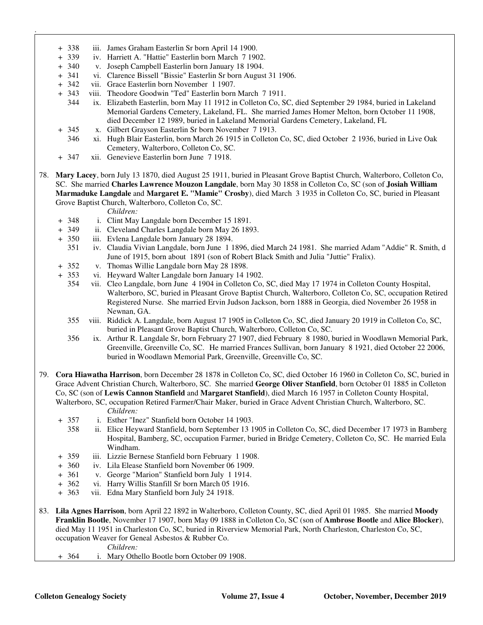- + 338 iii. James Graham Easterlin Sr born April 14 1900.
- + 339 iv. Harriett A. "Hattie" Easterlin born March 7 1902.
- + 340 v. Joseph Campbell Easterlin born January 18 1904.
- + 341 vi. Clarence Bissell "Bissie" Easterlin Sr born August 31 1906.
- + 342 vii. Grace Easterlin born November 1 1907.

.

- + 343 viii. Theodore Goodwin "Ted" Easterlin born March 7 1911.
	- 344 ix. Elizabeth Easterlin, born May 11 1912 in Colleton Co, SC, died September 29 1984, buried in Lakeland Memorial Gardens Cemetery, Lakeland, FL. She married James Homer Melton, born October 11 1908, died December 12 1989, buried in Lakeland Memorial Gardens Cemetery, Lakeland, FL
- + 345 x. Gilbert Grayson Easterlin Sr born November 7 1913.
- 346 xi. Hugh Blair Easterlin, born March 26 1915 in Colleton Co, SC, died October 2 1936, buried in Live Oak Cemetery, Walterboro, Colleton Co, SC.
- + 347 xii. Genevieve Easterlin born June 7 1918.
- 78. **Mary Lacey**, born July 13 1870, died August 25 1911, buried in Pleasant Grove Baptist Church, Walterboro, Colleton Co, SC. She married **Charles Lawrence Mouzon Langdale**, born May 30 1858 in Colleton Co, SC (son of **Josiah William Marmaduke Langdale** and **Margaret E. "Mamie" Crosby**), died March 3 1935 in Colleton Co, SC, buried in Pleasant Grove Baptist Church, Walterboro, Colleton Co, SC.

- + 348 i. Clint May Langdale born December 15 1891.
- ii. Cleveland Charles Langdale born May 26 1893.
- + 350 iii. Evlena Langdale born January 28 1894.
	- 351 iv. Claudia Vivian Langdale, born June 1 1896, died March 24 1981. She married Adam "Addie" R. Smith, d June of 1915, born about 1891 (son of Robert Black Smith and Julia "Juttie" Fralix).
- + 352 v. Thomas Willie Langdale born May 28 1898.
- + 353 vi. Heyward Walter Langdale born January 14 1902.
	- 354 vii. Cleo Langdale, born June 4 1904 in Colleton Co, SC, died May 17 1974 in Colleton County Hospital, Walterboro, SC, buried in Pleasant Grove Baptist Church, Walterboro, Colleton Co, SC, occupation Retired Registered Nurse. She married Ervin Judson Jackson, born 1888 in Georgia, died November 26 1958 in Newnan, GA.
	- 355 viii. Riddick A. Langdale, born August 17 1905 in Colleton Co, SC, died January 20 1919 in Colleton Co, SC, buried in Pleasant Grove Baptist Church, Walterboro, Colleton Co, SC.
	- 356 ix. Arthur R. Langdale Sr, born February 27 1907, died February 8 1980, buried in Woodlawn Memorial Park, Greenville, Greenville Co, SC. He married Frances Sullivan, born January 8 1921, died October 22 2006, buried in Woodlawn Memorial Park, Greenville, Greenville Co, SC.
- 79. **Cora Hiawatha Harrison**, born December 28 1878 in Colleton Co, SC, died October 16 1960 in Colleton Co, SC, buried in Grace Advent Christian Church, Walterboro, SC. She married **George Oliver Stanfield**, born October 01 1885 in Colleton Co, SC (son of **Lewis Cannon Stanfield** and **Margaret Stanfield**), died March 16 1957 in Colleton County Hospital, Walterboro, SC, occupation Retired Farmer/Chair Maker, buried in Grace Advent Christian Church, Walterboro, SC. *Children:*
	- + 357 i. Esther "Inez" Stanfield born October 14 1903.
		- 358 ii. Elice Heyward Stanfield, born September 13 1905 in Colleton Co, SC, died December 17 1973 in Bamberg Hospital, Bamberg, SC, occupation Farmer, buried in Bridge Cemetery, Colleton Co, SC. He married Eula Windham.
	- + 359 iii. Lizzie Bernese Stanfield born February 1 1908.
	- + 360 iv. Lila Elease Stanfield born November 06 1909.
	- + 361 v. George "Marion" Stanfield born July 1 1914.
	- + 362 vi. Harry Willis Stanfill Sr born March 05 1916.
	- + 363 vii. Edna Mary Stanfield born July 24 1918.
- 83. **Lila Agnes Harrison**, born April 22 1892 in Walterboro, Colleton County, SC, died April 01 1985. She married **Moody Franklin Bootle**, November 17 1907, born May 09 1888 in Colleton Co, SC (son of **Ambrose Bootle** and **Alice Blocker**), died May 11 1951 in Charleston Co, SC, buried in Riverview Memorial Park, North Charleston, Charleston Co, SC, occupation Weaver for Geneal Asbestos & Rubber Co.
	- *Children:*
	- + 364 i. Mary Othello Bootle born October 09 1908.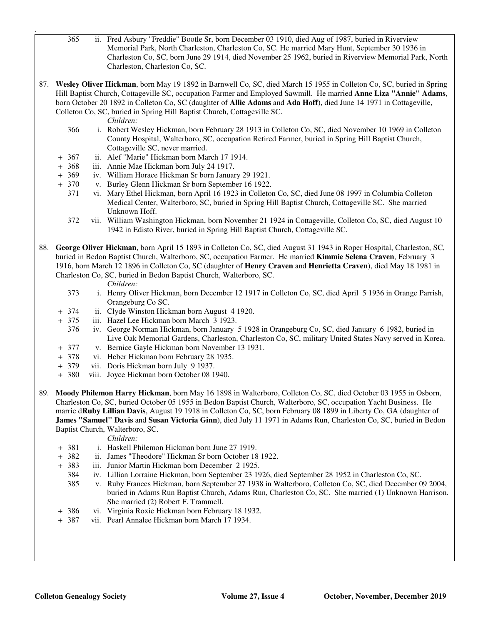- 365 ii. Fred Asbury "Freddie" Bootle Sr, born December 03 1910, died Aug of 1987, buried in Riverview Memorial Park, North Charleston, Charleston Co, SC. He married Mary Hunt, September 30 1936 in Charleston Co, SC, born June 29 1914, died November 25 1962, buried in Riverview Memorial Park, North Charleston, Charleston Co, SC.
- 87. **Wesley Oliver Hickman**, born May 19 1892 in Barnwell Co, SC, died March 15 1955 in Colleton Co, SC, buried in Spring Hill Baptist Church, Cottageville SC, occupation Farmer and Employed Sawmill. He married **Anne Liza "Annie" Adams**, born October 20 1892 in Colleton Co, SC (daughter of **Allie Adams** and **Ada Hoff**), died June 14 1971 in Cottageville, Colleton Co, SC, buried in Spring Hill Baptist Church, Cottageville SC.

*Children:*

.

- 366 i. Robert Wesley Hickman, born February 28 1913 in Colleton Co, SC, died November 10 1969 in Colleton County Hospital, Walterboro, SC, occupation Retired Farmer, buried in Spring Hill Baptist Church, Cottageville SC, never married.
- + 367 ii. Alef "Marie" Hickman born March 17 1914.
- + 368 iii. Annie Mae Hickman born July 24 1917.
- + 369 iv. William Horace Hickman Sr born January 29 1921.
- + 370 v. Burley Glenn Hickman Sr born September 16 1922.
	- 371 vi. Mary Ethel Hickman, born April 16 1923 in Colleton Co, SC, died June 08 1997 in Columbia Colleton Medical Center, Walterboro, SC, buried in Spring Hill Baptist Church, Cottageville SC. She married Unknown Hoff.
	- 372 vii. William Washington Hickman, born November 21 1924 in Cottageville, Colleton Co, SC, died August 10 1942 in Edisto River, buried in Spring Hill Baptist Church, Cottageville SC.
- 88. **George Oliver Hickman**, born April 15 1893 in Colleton Co, SC, died August 31 1943 in Roper Hospital, Charleston, SC, buried in Bedon Baptist Church, Walterboro, SC, occupation Farmer. He married **Kimmie Selena Craven**, February 3 1916, born March 12 1896 in Colleton Co, SC (daughter of **Henry Craven** and **Henrietta Craven**), died May 18 1981 in Charleston Co, SC, buried in Bedon Baptist Church, Walterboro, SC.

*Children:*

- 373 i. Henry Oliver Hickman, born December 12 1917 in Colleton Co, SC, died April 5 1936 in Orange Parrish, Orangeburg Co SC.
- + 374 ii. Clyde Winston Hickman born August 4 1920.
- + 375 iii. Hazel Lee Hickman born March 3 1923.
	- 376 iv. George Norman Hickman, born January 5 1928 in Orangeburg Co, SC, died January 6 1982, buried in Live Oak Memorial Gardens, Charleston, Charleston Co, SC, military United States Navy served in Korea.
- + 377 v. Bernice Gayle Hickman born November 13 1931.
- + 378 vi. Heber Hickman born February 28 1935.
- + 379 vii. Doris Hickman born July 9 1937.
- + 380 viii. Joyce Hickman born October 08 1940.
- 89. **Moody Philemon Harry Hickman**, born May 16 1898 in Walterboro, Colleton Co, SC, died October 03 1955 in Osborn, Charleston Co, SC, buried October 05 1955 in Bedon Baptist Church, Walterboro, SC, occupation Yacht Business. He marrie d**Ruby Lillian Davis**, August 19 1918 in Colleton Co, SC, born February 08 1899 in Liberty Co, GA (daughter of **James "Samuel" Davis** and **Susan Victoria Ginn**), died July 11 1971 in Adams Run, Charleston Co, SC, buried in Bedon Baptist Church, Walterboro, SC.

- + 381 i. Haskell Philemon Hickman born June 27 1919.
- + 382 ii. James "Theodore" Hickman Sr born October 18 1922.
- + 383 iii. Junior Martin Hickman born December 2 1925.
	- 384 iv. Lillian Lorraine Hickman, born September 23 1926, died September 28 1952 in Charleston Co, SC.
	- 385 v. Ruby Frances Hickman, born September 27 1938 in Walterboro, Colleton Co, SC, died December 09 2004, buried in Adams Run Baptist Church, Adams Run, Charleston Co, SC. She married (1) Unknown Harrison. She married (2) Robert F. Trammell.
- + 386 vi. Virginia Roxie Hickman born February 18 1932.
- + 387 vii. Pearl Annalee Hickman born March 17 1934.